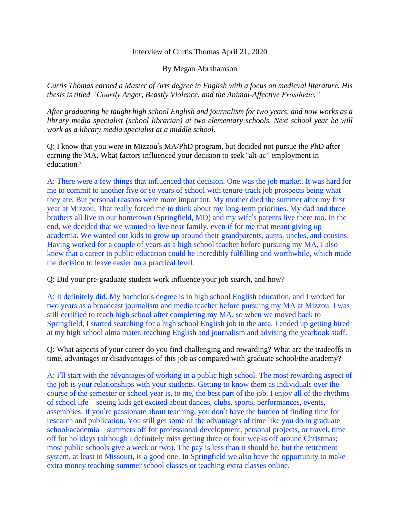## Interview of Curtis Thomas April 21, 2020

By Megan Abrahamson

*Curtis Thomas earned a Master of Arts degree in English with a focus on medieval literature. His thesis is titled "Courtly Anger, Beastly Violence, and the Animal-Affective Prosthetic."*

*After graduating he taught high school English and journalism for two years, and now works as a library media specialist (school librarian) at two elementary schools. Next school year he will work as a library media specialist at a middle school.*

Q: I know that you were in Mizzou's MA/PhD program, but decided not pursue the PhD after earning the MA. What factors influenced your decision to seek "alt-ac" employment in education?

A: There were a few things that influenced that decision. One was the job market. It was hard for me to commit to another five or so years of school with tenure-track job prospects being what they are. But personal reasons were more important. My mother died the summer after my first year at Mizzou. That really forced me to think about my long-term priorities. My dad and three brothers all live in our hometown (Springfield, MO) and my wife's parents live there too. In the end, we decided that we wanted to live near family, even if for me that meant giving up academia. We wanted our kids to grow up around their grandparents, aunts, uncles, and cousins. Having worked for a couple of years as a high school teacher before pursuing my MA, I also knew that a career in public education could be incredibly fulfilling and worthwhile, which made the decision to leave easier on a practical level.

Q: Did your pre-graduate student work influence your job search, and how?

A: It definitely did. My bachelor's degree is in high school English education, and I worked for two years as a broadcast journalism and media teacher before pursuing my MA at Mizzou. I was still certified to teach high school after completing my MA, so when we moved back to Springfield, I started searching for a high school English job in the area. I ended up getting hired at my high school alma mater, teaching English and journalism and advising the yearbook staff.

Q: What aspects of your career do you find challenging and rewarding? What are the tradeoffs in time, advantages or disadvantages of this job as compared with graduate school/the academy?

A: I'll start with the advantages of working in a public high school. The most rewarding aspect of the job is your relationships with your students. Getting to know them as individuals over the course of the semester or school year is, to me, the best part of the job. I enjoy all of the rhythms of school life—seeing kids get excited about dances, clubs, sports, performances, events, assemblies. If you're passionate about teaching, you don't have the burden of finding time for research and publication. You still get some of the advantages of time like you do in graduate school/academia—summers off for professional development, personal projects, or travel, time off for holidays (although I definitely miss getting three or four weeks off around Christmas; most public schools give a week or two). The pay is less than it should be, but the retirement system, at least in Missouri, is a good one. In Springfield we also have the opportunity to make extra money teaching summer school classes or teaching extra classes online.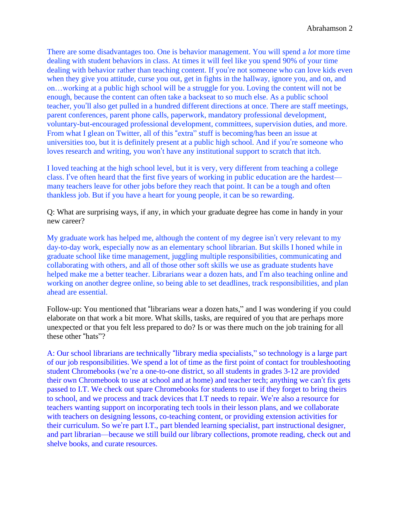There are some disadvantages too. One is behavior management. You will spend a *lot* more time dealing with student behaviors in class. At times it will feel like you spend 90% of your time dealing with behavior rather than teaching content. If you're not someone who can love kids even when they give you attitude, curse you out, get in fights in the hallway, ignore you, and on, and on…working at a public high school will be a struggle for you. Loving the content will not be enough, because the content can often take a backseat to so much else. As a public school teacher, you'll also get pulled in a hundred different directions at once. There are staff meetings, parent conferences, parent phone calls, paperwork, mandatory professional development, voluntary-but-encouraged professional development, committees, supervision duties, and more. From what I glean on Twitter, all of this "extra" stuff is becoming/has been an issue at universities too, but it is definitely present at a public high school. And if you're someone who loves research and writing, you won't have any institutional support to scratch that itch.

I loved teaching at the high school level, but it is very, very different from teaching a college class. I've often heard that the first five years of working in public education are the hardest many teachers leave for other jobs before they reach that point. It can be a tough and often thankless job. But if you have a heart for young people, it can be so rewarding.

Q: What are surprising ways, if any, in which your graduate degree has come in handy in your new career?

My graduate work has helped me, although the content of my degree isn't very relevant to my day-to-day work, especially now as an elementary school librarian. But skills I honed while in graduate school like time management, juggling multiple responsibilities, communicating and collaborating with others, and all of those other soft skills we use as graduate students have helped make me a better teacher. Librarians wear a dozen hats, and I'm also teaching online and working on another degree online, so being able to set deadlines, track responsibilities, and plan ahead are essential.

Follow-up: You mentioned that "librarians wear a dozen hats," and I was wondering if you could elaborate on that work a bit more. What skills, tasks, are required of you that are perhaps more unexpected or that you felt less prepared to do? Is or was there much on the job training for all these other "hats"?

A: Our school librarians are technically "library media specialists," so technology is a large part of our job responsibilities. We spend a lot of time as the first point of contact for troubleshooting student Chromebooks (we're a one-to-one district, so all students in grades 3-12 are provided their own Chromebook to use at school and at home) and teacher tech; anything we can't fix gets passed to I.T. We check out spare Chromebooks for students to use if they forget to bring theirs to school, and we process and track devices that I.T needs to repair. We're also a resource for teachers wanting support on incorporating tech tools in their lesson plans, and we collaborate with teachers on designing lessons, co-teaching content, or providing extension activities for their curriculum. So we're part I.T., part blended learning specialist, part instructional designer, and part librarian—because we still build our library collections, promote reading, check out and shelve books, and curate resources.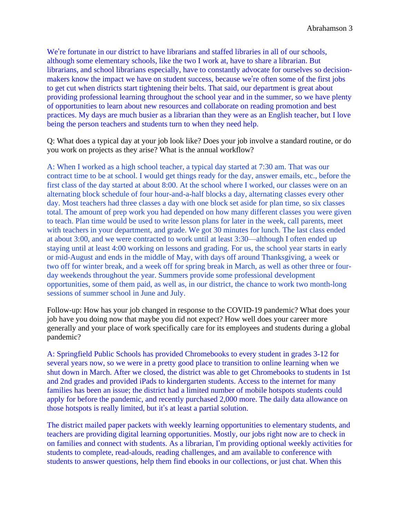We're fortunate in our district to have librarians and staffed libraries in all of our schools, although some elementary schools, like the two I work at, have to share a librarian. But librarians, and school librarians especially, have to constantly advocate for ourselves so decisionmakers know the impact we have on student success, because we're often some of the first jobs to get cut when districts start tightening their belts. That said, our department is great about providing professional learning throughout the school year and in the summer, so we have plenty of opportunities to learn about new resources and collaborate on reading promotion and best practices. My days are much busier as a librarian than they were as an English teacher, but I love being the person teachers and students turn to when they need help.

Q: What does a typical day at your job look like? Does your job involve a standard routine, or do you work on projects as they arise? What is the annual workflow?

A: When I worked as a high school teacher, a typical day started at 7:30 am. That was our contract time to be at school. I would get things ready for the day, answer emails, etc., before the first class of the day started at about 8:00. At the school where I worked, our classes were on an alternating block schedule of four hour-and-a-half blocks a day, alternating classes every other day. Most teachers had three classes a day with one block set aside for plan time, so six classes total. The amount of prep work you had depended on how many different classes you were given to teach. Plan time would be used to write lesson plans for later in the week, call parents, meet with teachers in your department, and grade. We got 30 minutes for lunch. The last class ended at about 3:00, and we were contracted to work until at least 3:30—although I often ended up staying until at least 4:00 working on lessons and grading. For us, the school year starts in early or mid-August and ends in the middle of May, with days off around Thanksgiving, a week or two off for winter break, and a week off for spring break in March, as well as other three or fourday weekends throughout the year. Summers provide some professional development opportunities, some of them paid, as well as, in our district, the chance to work two month-long sessions of summer school in June and July.

Follow-up: How has your job changed in response to the COVID-19 pandemic? What does your job have you doing now that maybe you did not expect? How well does your career more generally and your place of work specifically care for its employees and students during a global pandemic?

A: Springfield Public Schools has provided Chromebooks to every student in grades 3-12 for several years now, so we were in a pretty good place to transition to online learning when we shut down in March. After we closed, the district was able to get Chromebooks to students in 1st and 2nd grades and provided iPads to kindergarten students. Access to the internet for many families has been an issue; the district had a limited number of mobile hotspots students could apply for before the pandemic, and recently purchased 2,000 more. The daily data allowance on those hotspots is really limited, but it's at least a partial solution.

The district mailed paper packets with weekly learning opportunities to elementary students, and teachers are providing digital learning opportunities. Mostly, our jobs right now are to check in on families and connect with students. As a librarian, I'm providing optional weekly activities for students to complete, read-alouds, reading challenges, and am available to conference with students to answer questions, help them find ebooks in our collections, or just chat. When this